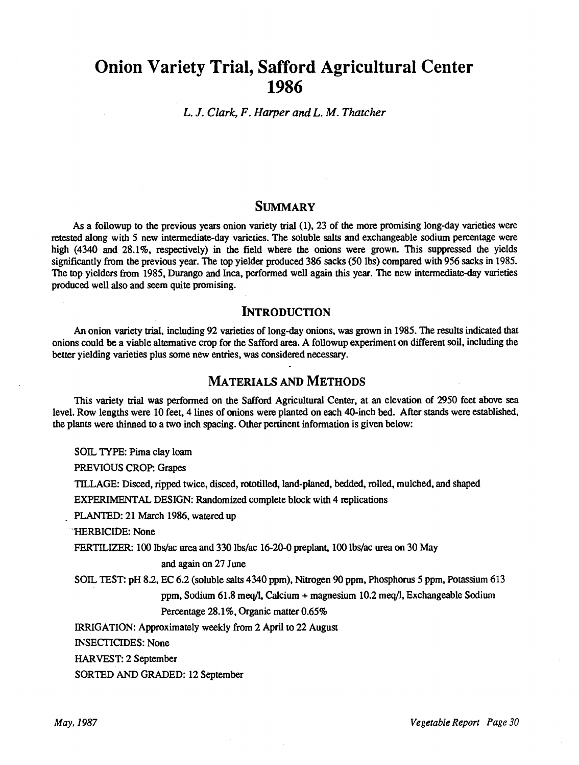# Onion Variety Trial, Safford Agricultural Center 1986

L. J. Clark, F. Harper and L. M. Thatcher

# **SUMMARY**

As a followup to the previous years onion variety trial (1), 23 of the more promising long -day varieties were retested along with 5 new intermediate -day varieties. The soluble salts and exchangeable sodium percentage were high (4340 and 28.1%, respectively) in the field where the onions were grown. This suppressed the yields significantly from the previous year. The top yielder produced 386 sacks (50 lbs) compared with 956 sacks in 1985. The top yielders from 1985, Durango and Inca, performed well again this year. The new intermediate -day varieties produced well also and seem quite promising.

## INTRODUCTION

An onion variety trial, including 92 varieties of long -day onions, was grown in 1985. The results indicated that onions could be a viable alternative crop for the Safford area. A followup experiment on different soil, including the better yielding varieties plus some new entries, was considered necessary.

## MATERIALS AND METHODS

This variety trial was performed on the Safford Agricultural Center, at an elevation of 2950 feet above sea level. Row lengths were 10 feet, 4 lines of onions were planted on each 40 -inch bed. After stands were established, the plants were thinned to a two inch spacing. Other pertinent information is given below:

SOIL TYPE: Pima clay loam

PREVIOUS CROP: Grapes

TILLAGE: Disced, ripped twice, disced, rototilled, land- planed, bedded, rolled, mulched, and shaped

EXPERIMENTAL DESIGN: Randomized complete block with 4 replications

PLANTED: 21 March 1986, watered up

-HERBICIDE: None

FERTILIZER: 100 lbs/ac urea and 330 lbs/ac 16-20-0 preplant, 100 lbs/ac urea on 30 May

#### and again on 27 June

SOIL TEST: pH 8.2, EC 6.2 (soluble salts 4340 ppm), Nitrogen 90 ppm, Phosphorus 5 ppm, Potassium 613 ppm, Sodium 61.8 meq/l, Calcium + magnesium 10.2 meq/1, Exchangeable Sodium Percentage 28.1%, Organic matter 0.65%

IRRIGATION: Approximately weekly from 2 April to 22 August

INSECTICIDES: None

HARVEST: 2 September

SORTED AND GRADED: 12 September